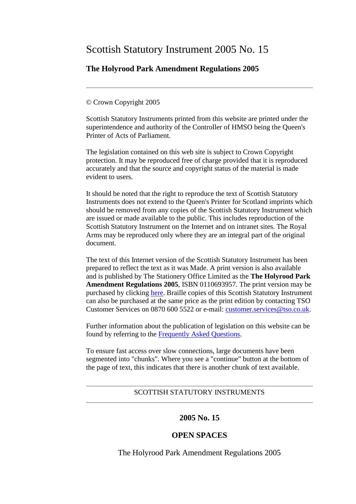# Scottish Statutory Instrument 2005 No. 15

# **The Holyrood Park Amendment Regulations 2005**

## © Crown Copyright 2005

Scottish Statutory Instruments printed from this website are printed under the superintendence and authority of the Controller of HMSO being the Queen's Printer of Acts of Parliament.

The legislation contained on this web site is subject to Crown Copyright protection. It may be reproduced free of charge provided that it is reproduced accurately and that the source and copyright status of the material is made evident to users.

It should be noted that the right to reproduce the text of Scottish Statutory Instruments does not extend to the Queen's Printer for Scotland imprints which should be removed from any copies of the Scottish Statutory Instrument which are issued or made available to the public. This includes reproduction of the Scottish Statutory Instrument on the Internet and on intranet sites. The Royal Arms may be reproduced only where they are an integral part of the original document.

The text of this Internet version of the Scottish Statutory Instrument has been prepared to reflect the text as it was Made. A print version is also available and is published by The Stationery Office Limited as the **The Holyrood Park Amendment Regulations 2005**, ISBN 0110693957. The print version may be purchased by clicking [here.](http://www.opsi.gov.uk/bookstore.htm?AF=A10075&FO=38383&Action=AddItem&ProductID=0110693957) Braille copies of this Scottish Statutory Instrument can also be purchased at the same price as the print edition by contacting TSO Customer Services on 0870 600 5522 or e-mail: [customer.services@tso.co.uk.](mailto:customer.services@tso.co.uk)

Further information about the publication of legislation on this website can be found by referring to the [Frequently Asked Questions.](http://www.hmso.gov.uk/faqs.htm)

To ensure fast access over slow connections, large documents have been segmented into "chunks". Where you see a "continue" button at the bottom of the page of text, this indicates that there is another chunk of text available.

## SCOTTISH STATUTORY INSTRUMENTS

## **2005 No. 15**

# **OPEN SPACES**

The Holyrood Park Amendment Regulations 2005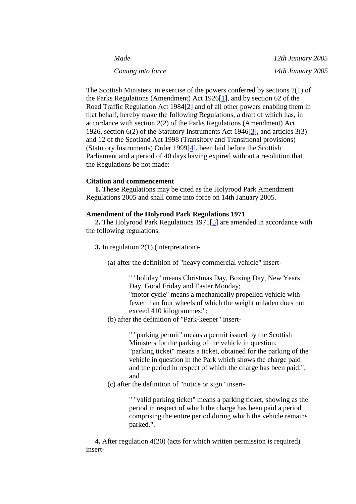| Made              |  |
|-------------------|--|
| Coming into force |  |

*Made 12th January 2005 Coming into force 14th January 2005*

The Scottish Ministers, in exercise of the powers conferred by sections 2(1) of the Parks Regulations (Amendment) Act 1926[\[1\]](http://www.opsi.gov.uk/legislation/scotland/ssi2005/20050015.htm#note1#note1), and by section 62 of the Road Traffic Regulation Act 1984[\[2\]](http://www.opsi.gov.uk/legislation/scotland/ssi2005/20050015.htm#note2#note2) and of all other powers enabling them in that behalf, hereby make the following Regulations, a draft of which has, in accordance with section 2(2) of the Parks Regulations (Amendment) Act 1926, section 6(2) of the Statutory Instruments Act 1946[\[3\]](http://www.opsi.gov.uk/legislation/scotland/ssi2005/20050015.htm#note3#note3), and articles 3(3) and 12 of the Scotland Act 1998 (Transitory and Transitional provisions) (Statutory Instruments) Order 1999[\[4\]](http://www.opsi.gov.uk/legislation/scotland/ssi2005/20050015.htm#note4#note4), been laid before the Scottish Parliament and a period of 40 days having expired without a resolution that the Regulations be not made:

### **Citation and commencement**

 **1.** These Regulations may be cited as the Holyrood Park Amendment Regulations 2005 and shall come into force on 14th January 2005.

#### **Amendment of the Holyrood Park Regulations 1971**

 **2.** The Holyrood Park Regulations 1971[\[5\]](http://www.opsi.gov.uk/legislation/scotland/ssi2005/20050015.htm#note5#note5) are amended in accordance with the following regulations.

**3.** In regulation 2(1) (interpretation)-

(a) after the definition of "heavy commercial vehicle" insert-

" "holiday" means Christmas Day, Boxing Day, New Years Day, Good Friday and Easter Monday; "motor cycle" means a mechanically propelled vehicle with fewer than four wheels of which the weight unladen does not exceed 410 kilogrammes;";

(b) after the definition of "Park-keeper" insert-

" "parking permit" means a permit issued by the Scottish Ministers for the parking of the vehicle in question; "parking ticket" means a ticket, obtained for the parking of the vehicle in question in the Park which shows the charge paid and the period in respect of which the charge has been paid;"; and

(c) after the definition of "notice or sign" insert-

" "valid parking ticket" means a parking ticket, showing as the period in respect of which the charge has been paid a period comprising the entire period during which the vehicle remains parked.".

 **4.** After regulation 4(20) (acts for which written permission is required) insert-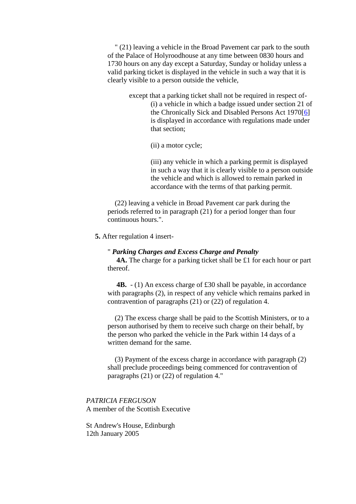" (21) leaving a vehicle in the Broad Pavement car park to the south of the Palace of Holyroodhouse at any time between 0830 hours and 1730 hours on any day except a Saturday, Sunday or holiday unless a valid parking ticket is displayed in the vehicle in such a way that it is clearly visible to a person outside the vehicle,

> except that a parking ticket shall not be required in respect of- (i) a vehicle in which a badge issued under section 21 of the Chronically Sick and Disabled Persons Act 1970[\[6\]](http://www.opsi.gov.uk/legislation/scotland/ssi2005/20050015.htm#note6#note6) is displayed in accordance with regulations made under that section;

> > (ii) a motor cycle;

(iii) any vehicle in which a parking permit is displayed in such a way that it is clearly visible to a person outside the vehicle and which is allowed to remain parked in accordance with the terms of that parking permit.

 (22) leaving a vehicle in Broad Pavement car park during the periods referred to in paragraph (21) for a period longer than four continuous hours.".

**5.** After regulation 4 insert-

#### " *Parking Charges and Excess Charge and Penalty*

 **4A.** The charge for a parking ticket shall be £1 for each hour or part thereof.

**4B.**  $\cdot$  (1) An excess charge of £30 shall be payable, in accordance with paragraphs (2), in respect of any vehicle which remains parked in contravention of paragraphs (21) or (22) of regulation 4.

 (2) The excess charge shall be paid to the Scottish Ministers, or to a person authorised by them to receive such charge on their behalf, by the person who parked the vehicle in the Park within 14 days of a written demand for the same.

 (3) Payment of the excess charge in accordance with paragraph (2) shall preclude proceedings being commenced for contravention of paragraphs (21) or (22) of regulation 4."

*PATRICIA FERGUSON* A member of the Scottish Executive

St Andrew's House, Edinburgh 12th January 2005